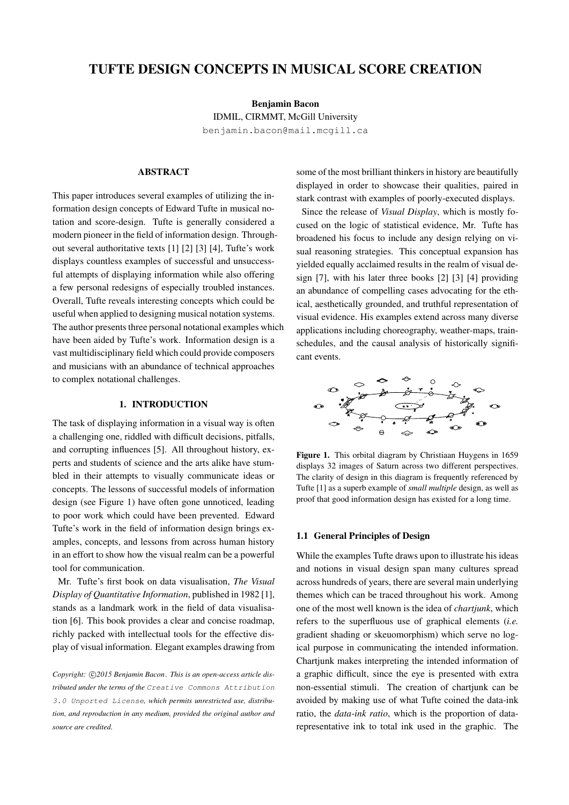# TUFTE DESIGN CONCEPTS IN MUSICAL SCORE CREATION

Benjamin Bacon IDMIL, CIRMMT, McGill University [benjamin.bacon@mail.mcgill.ca](mailto:benjamin.bacon@mail.mcgill.ca)

# ABSTRACT

This paper introduces several examples of utilizing the information design concepts of Edward Tufte in musical notation and score-design. Tufte is generally considered a modern pioneer in the field of information design. Throughout several authoritative texts [\[1\]](#page-5-0) [\[2\]](#page-5-1) [\[3\]](#page-5-2) [\[4\]](#page-5-3), Tufte's work displays countless examples of successful and unsuccessful attempts of displaying information while also offering a few personal redesigns of especially troubled instances. Overall, Tufte reveals interesting concepts which could be useful when applied to designing musical notation systems. The author presents three personal notational examples which have been aided by Tufte's work. Information design is a vast multidisciplinary field which could provide composers and musicians with an abundance of technical approaches to complex notational challenges.

# 1. INTRODUCTION

The task of displaying information in a visual way is often a challenging one, riddled with difficult decisions, pitfalls, and corrupting influences [\[5\]](#page-5-4). All throughout history, experts and students of science and the arts alike have stumbled in their attempts to visually communicate ideas or concepts. The lessons of successful models of information design (see Figure [1\)](#page-0-0) have often gone unnoticed, leading to poor work which could have been prevented. Edward Tufte's work in the field of information design brings examples, concepts, and lessons from across human history in an effort to show how the visual realm can be a powerful tool for communication.

Mr. Tufte's first book on data visualisation, *The Visual Display of Quantitative Information*, published in 1982 [\[1\]](#page-5-0), stands as a landmark work in the field of data visualisation [\[6\]](#page-5-5). This book provides a clear and concise roadmap, richly packed with intellectual tools for the effective display of visual information. Elegant examples drawing from

Copyright: C2015 Benjamin Bacon. This is an open-access article dis*tributed under the terms of the* [Creative Commons Attribution](http://creativecommons.org/licenses/by/3.0/) [3.0 Unported License](http://creativecommons.org/licenses/by/3.0/)*, which permits unrestricted use, distribution, and reproduction in any medium, provided the original author and source are credited.*

some of the most brilliant thinkers in history are beautifully displayed in order to showcase their qualities, paired in stark contrast with examples of poorly-executed displays.

Since the release of *Visual Display*, which is mostly focused on the logic of statistical evidence, Mr. Tufte has broadened his focus to include any design relying on visual reasoning strategies. This conceptual expansion has yielded equally acclaimed results in the realm of visual design [\[7\]](#page-5-6), with his later three books [\[2\]](#page-5-1) [\[3\]](#page-5-2) [\[4\]](#page-5-3) providing an abundance of compelling cases advocating for the ethical, aesthetically grounded, and truthful representation of visual evidence. His examples extend across many diverse applications including choreography, weather-maps, trainschedules, and the causal analysis of historically significant events.

<span id="page-0-0"></span>

Figure 1. This orbital diagram by Christiaan Huygens in 1659 displays 32 images of Saturn across two different perspectives. The clarity of design in this diagram is frequently referenced by Tufte [\[1\]](#page-5-0) as a superb example of *small multiple* design, as well as proof that good information design has existed for a long time.

#### <span id="page-0-1"></span>1.1 General Principles of Design

While the examples Tufte draws upon to illustrate his ideas and notions in visual design span many cultures spread across hundreds of years, there are several main underlying themes which can be traced throughout his work. Among one of the most well known is the idea of *chartjunk*, which refers to the superfluous use of graphical elements (*i.e.* gradient shading or skeuomorphism) which serve no logical purpose in communicating the intended information. Chartjunk makes interpreting the intended information of a graphic difficult, since the eye is presented with extra non-essential stimuli. The creation of chartjunk can be avoided by making use of what Tufte coined the data-ink ratio, the *data-ink ratio*, which is the proportion of datarepresentative ink to total ink used in the graphic. The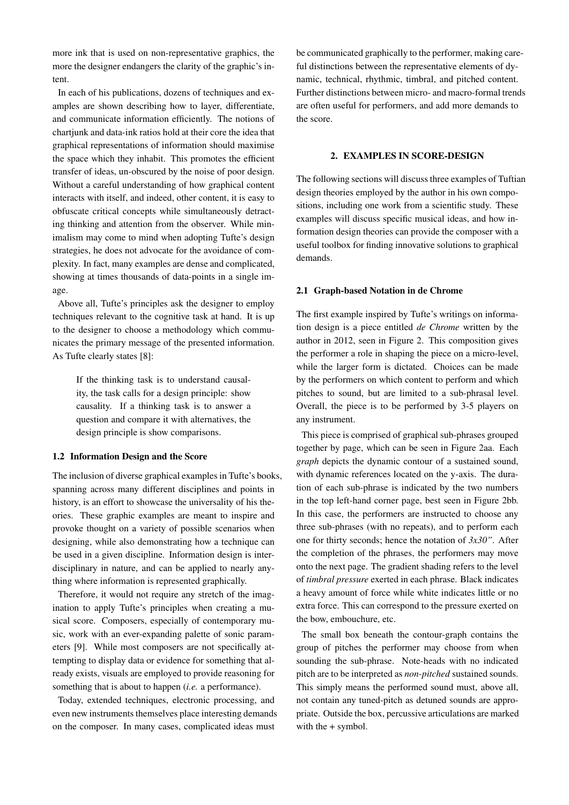more ink that is used on non-representative graphics, the more the designer endangers the clarity of the graphic's intent.

In each of his publications, dozens of techniques and examples are shown describing how to layer, differentiate, and communicate information efficiently. The notions of chartiunk and data-ink ratios hold at their core the idea that graphical representations of information should maximise the space which they inhabit. This promotes the efficient transfer of ideas, un-obscured by the noise of poor design. Without a careful understanding of how graphical content interacts with itself, and indeed, other content, it is easy to obfuscate critical concepts while simultaneously detracting thinking and attention from the observer. While minimalism may come to mind when adopting Tufte's design strategies, he does not advocate for the avoidance of complexity. In fact, many examples are dense and complicated, showing at times thousands of data-points in a single image.

Above all, Tufte's principles ask the designer to employ techniques relevant to the cognitive task at hand. It is up to the designer to choose a methodology which communicates the primary message of the presented information. As Tufte clearly states [\[8\]](#page-5-7):

> If the thinking task is to understand causality, the task calls for a design principle: show causality. If a thinking task is to answer a question and compare it with alternatives, the design principle is show comparisons.

## 1.2 Information Design and the Score

The inclusion of diverse graphical examples in Tufte's books, spanning across many different disciplines and points in history, is an effort to showcase the universality of his theories. These graphic examples are meant to inspire and provoke thought on a variety of possible scenarios when designing, while also demonstrating how a technique can be used in a given discipline. Information design is interdisciplinary in nature, and can be applied to nearly anything where information is represented graphically.

Therefore, it would not require any stretch of the imagination to apply Tufte's principles when creating a musical score. Composers, especially of contemporary music, work with an ever-expanding palette of sonic parameters [\[9\]](#page-5-8). While most composers are not specifically attempting to display data or evidence for something that already exists, visuals are employed to provide reasoning for something that is about to happen (*i.e.* a performance).

Today, extended techniques, electronic processing, and even new instruments themselves place interesting demands on the composer. In many cases, complicated ideas must

be communicated graphically to the performer, making careful distinctions between the representative elements of dynamic, technical, rhythmic, timbral, and pitched content. Further distinctions between micro- and macro-formal trends are often useful for performers, and add more demands to the score.

## 2. EXAMPLES IN SCORE-DESIGN

The following sections will discuss three examples of Tuftian design theories employed by the author in his own compositions, including one work from a scientific study. These examples will discuss specific musical ideas, and how information design theories can provide the composer with a useful toolbox for finding innovative solutions to graphical demands.

#### 2.1 Graph-based Notation in de Chrome

The first example inspired by Tufte's writings on information design is a piece entitled *de Chrome* written by the author in 2012, seen in Figure [2.](#page-2-0) This composition gives the performer a role in shaping the piece on a micro-level, while the larger form is dictated. Choices can be made by the performers on which content to perform and which pitches to sound, but are limited to a sub-phrasal level. Overall, the piece is to be performed by 3-5 players on any instrument.

This piece is comprised of graphical sub-phrases grouped together by page, which can be seen in Figure [2aa](#page-2-1). Each *graph* depicts the dynamic contour of a sustained sound, with dynamic references located on the y-axis. The duration of each sub-phrase is indicated by the two numbers in the top left-hand corner page, best seen in Figure [2bb](#page-2-2). In this case, the performers are instructed to choose any three sub-phrases (with no repeats), and to perform each one for thirty seconds; hence the notation of *3x30"*. After the completion of the phrases, the performers may move onto the next page. The gradient shading refers to the level of *timbral pressure* exerted in each phrase. Black indicates a heavy amount of force while white indicates little or no extra force. This can correspond to the pressure exerted on the bow, embouchure, etc.

The small box beneath the contour-graph contains the group of pitches the performer may choose from when sounding the sub-phrase. Note-heads with no indicated pitch are to be interpreted as *non-pitched* sustained sounds. This simply means the performed sound must, above all, not contain any tuned-pitch as detuned sounds are appropriate. Outside the box, percussive articulations are marked with the + symbol.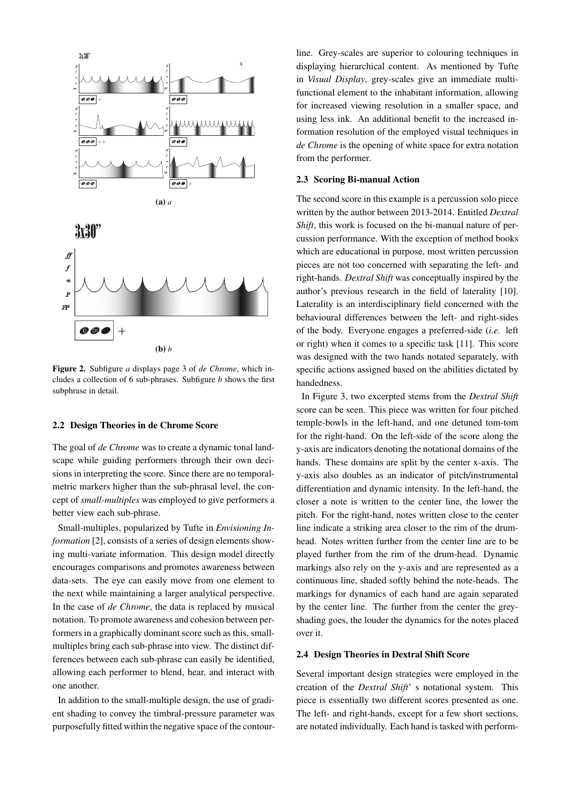<span id="page-2-1"></span><span id="page-2-0"></span>

<span id="page-2-2"></span>Figure 2. Subfigure *a* displays page 3 of *de Chrome*, which includes a collection of 6 sub-phrases. Subfigure *b* shows the first subphrase in detail.

#### 2.2 Design Theories in de Chrome Score

The goal of *de Chrome* was to create a dynamic tonal landscape while guiding performers through their own decisions in interpreting the score. Since there are no temporalmetric markers higher than the sub-phrasal level, the concept of *small-multiples* was employed to give performers a better view each sub-phrase.

Small-multiples, popularized by Tufte in *Envisioning Information* [\[2\]](#page-5-1), consists of a series of design elements showing multi-variate information. This design model directly encourages comparisons and promotes awareness between data-sets. The eye can easily move from one element to the next while maintaining a larger analytical perspective. In the case of *de Chrome*, the data is replaced by musical notation. To promote awareness and cohesion between performers in a graphically dominant score such as this, smallmultiples bring each sub-phrase into view. The distinct differences between each sub-phrase can easily be identified, allowing each performer to blend, hear, and interact with one another.

In addition to the small-multiple design, the use of gradient shading to convey the timbral-pressure parameter was purposefully fitted within the negative space of the contourline. Grey-scales are superior to colouring techniques in displaying hierarchical content. As mentioned by Tufte in *Visual Display*, grey-scales give an immediate multifunctional element to the inhabitant information, allowing for increased viewing resolution in a smaller space, and using less ink. An additional benefit to the increased information resolution of the employed visual techniques in *de Chrome* is the opening of white space for extra notation from the performer.

#### 2.3 Scoring Bi-manual Action

The second score in this example is a percussion solo piece written by the author between 2013-2014. Entitled *Dextral Shift*, this work is focused on the bi-manual nature of percussion performance. With the exception of method books which are educational in purpose, most written percussion pieces are not too concerned with separating the left- and right-hands. *Dextral Shift* was conceptually inspired by the author's previous research in the field of laterality [\[10\]](#page-5-9). Laterality is an interdisciplinary field concerned with the behavioural differences between the left- and right-sides of the body. Everyone engages a preferred-side (*i.e.* left or right) when it comes to a specific task [\[11\]](#page-5-10). This score was designed with the two hands notated separately, with specific actions assigned based on the abilities dictated by handedness.

In Figure [3,](#page-3-0) two excerpted stems from the *Dextral Shift* score can be seen. This piece was written for four pitched temple-bowls in the left-hand, and one detuned tom-tom for the right-hand. On the left-side of the score along the y-axis are indicators denoting the notational domains of the hands. These domains are split by the center x-axis. The y-axis also doubles as an indicator of pitch/instrumental differentiation and dynamic intensity. In the left-hand, the closer a note is written to the center line, the lower the pitch. For the right-hand, notes written close to the center line indicate a striking area closer to the rim of the drumhead. Notes written further from the center line are to be played further from the rim of the drum-head. Dynamic markings also rely on the y-axis and are represented as a continuous line, shaded softly behind the note-heads. The markings for dynamics of each hand are again separated by the center line. The further from the center the greyshading goes, the louder the dynamics for the notes placed over it.

#### 2.4 Design Theories in Dextral Shift Score

Several important design strategies were employed in the creation of the *Dextral Shift*' s notational system. This piece is essentially two different scores presented as one. The left- and right-hands, except for a few short sections, are notated individually. Each hand is tasked with perform-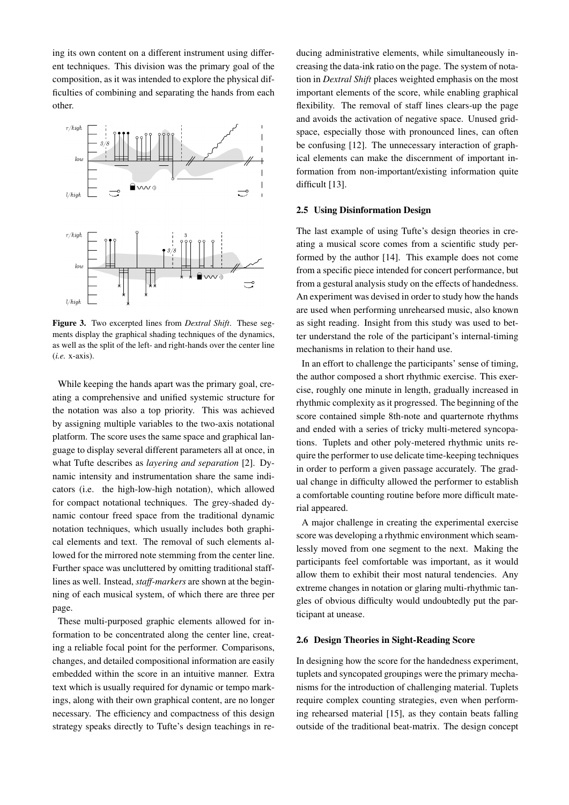ing its own content on a different instrument using different techniques. This division was the primary goal of the composition, as it was intended to explore the physical difficulties of combining and separating the hands from each other.

<span id="page-3-0"></span>

Figure 3. Two excerpted lines from *Dextral Shift*. These segments display the graphical shading techniques of the dynamics, as well as the split of the left- and right-hands over the center line (*i.e.* x-axis).

While keeping the hands apart was the primary goal, creating a comprehensive and unified systemic structure for the notation was also a top priority. This was achieved by assigning multiple variables to the two-axis notational platform. The score uses the same space and graphical language to display several different parameters all at once, in what Tufte describes as *layering and separation* [\[2\]](#page-5-1). Dynamic intensity and instrumentation share the same indicators (i.e. the high-low-high notation), which allowed for compact notational techniques. The grey-shaded dynamic contour freed space from the traditional dynamic notation techniques, which usually includes both graphical elements and text. The removal of such elements allowed for the mirrored note stemming from the center line. Further space was uncluttered by omitting traditional stafflines as well. Instead, *staff-markers* are shown at the beginning of each musical system, of which there are three per page.

These multi-purposed graphic elements allowed for information to be concentrated along the center line, creating a reliable focal point for the performer. Comparisons, changes, and detailed compositional information are easily embedded within the score in an intuitive manner. Extra text which is usually required for dynamic or tempo markings, along with their own graphical content, are no longer necessary. The efficiency and compactness of this design strategy speaks directly to Tufte's design teachings in reducing administrative elements, while simultaneously increasing the data-ink ratio on the page. The system of notation in *Dextral Shift* places weighted emphasis on the most important elements of the score, while enabling graphical flexibility. The removal of staff lines clears-up the page and avoids the activation of negative space. Unused gridspace, especially those with pronounced lines, can often be confusing [\[12\]](#page-5-11). The unnecessary interaction of graphical elements can make the discernment of important information from non-important/existing information quite difficult [\[13\]](#page-5-12).

#### 2.5 Using Disinformation Design

The last example of using Tufte's design theories in creating a musical score comes from a scientific study performed by the author [\[14\]](#page-5-13). This example does not come from a specific piece intended for concert performance, but from a gestural analysis study on the effects of handedness. An experiment was devised in order to study how the hands are used when performing unrehearsed music, also known as sight reading. Insight from this study was used to better understand the role of the participant's internal-timing mechanisms in relation to their hand use.

In an effort to challenge the participants' sense of timing, the author composed a short rhythmic exercise. This exercise, roughly one minute in length, gradually increased in rhythmic complexity as it progressed. The beginning of the score contained simple 8th-note and quarternote rhythms and ended with a series of tricky multi-metered syncopations. Tuplets and other poly-metered rhythmic units require the performer to use delicate time-keeping techniques in order to perform a given passage accurately. The gradual change in difficulty allowed the performer to establish a comfortable counting routine before more difficult material appeared.

A major challenge in creating the experimental exercise score was developing a rhythmic environment which seamlessly moved from one segment to the next. Making the participants feel comfortable was important, as it would allow them to exhibit their most natural tendencies. Any extreme changes in notation or glaring multi-rhythmic tangles of obvious difficulty would undoubtedly put the participant at unease.

#### 2.6 Design Theories in Sight-Reading Score

In designing how the score for the handedness experiment, tuplets and syncopated groupings were the primary mechanisms for the introduction of challenging material. Tuplets require complex counting strategies, even when performing rehearsed material [\[15\]](#page-5-14), as they contain beats falling outside of the traditional beat-matrix. The design concept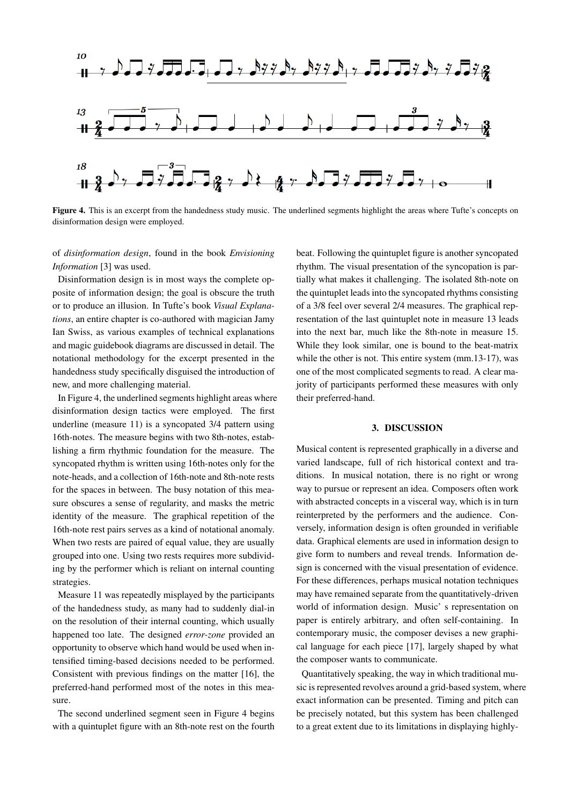

<span id="page-4-0"></span>Figure 4. This is an excerpt from the handedness study music. The underlined segments highlight the areas where Tufte's concepts on disinformation design were employed.

of *disinformation design*, found in the book *Envisioning Information* [\[3\]](#page-5-2) was used.

Disinformation design is in most ways the complete opposite of information design; the goal is obscure the truth or to produce an illusion. In Tufte's book *Visual Explanations*, an entire chapter is co-authored with magician Jamy Ian Swiss, as various examples of technical explanations and magic guidebook diagrams are discussed in detail. The notational methodology for the excerpt presented in the handedness study specifically disguised the introduction of new, and more challenging material.

In Figure [4,](#page-4-0) the underlined segments highlight areas where disinformation design tactics were employed. The first underline (measure 11) is a syncopated 3/4 pattern using 16th-notes. The measure begins with two 8th-notes, establishing a firm rhythmic foundation for the measure. The syncopated rhythm is written using 16th-notes only for the note-heads, and a collection of 16th-note and 8th-note rests for the spaces in between. The busy notation of this measure obscures a sense of regularity, and masks the metric identity of the measure. The graphical repetition of the 16th-note rest pairs serves as a kind of notational anomaly. When two rests are paired of equal value, they are usually grouped into one. Using two rests requires more subdividing by the performer which is reliant on internal counting strategies.

Measure 11 was repeatedly misplayed by the participants of the handedness study, as many had to suddenly dial-in on the resolution of their internal counting, which usually happened too late. The designed *error-zone* provided an opportunity to observe which hand would be used when intensified timing-based decisions needed to be performed. Consistent with previous findings on the matter [\[16\]](#page-5-15), the preferred-hand performed most of the notes in this measure.

The second underlined segment seen in Figure [4](#page-4-0) begins with a quintuplet figure with an 8th-note rest on the fourth beat. Following the quintuplet figure is another syncopated rhythm. The visual presentation of the syncopation is partially what makes it challenging. The isolated 8th-note on the quintuplet leads into the syncopated rhythms consisting of a 3/8 feel over several 2/4 measures. The graphical representation of the last quintuplet note in measure 13 leads into the next bar, much like the 8th-note in measure 15. While they look similar, one is bound to the beat-matrix while the other is not. This entire system (mm.13-17), was one of the most complicated segments to read. A clear majority of participants performed these measures with only their preferred-hand.

## 3. DISCUSSION

Musical content is represented graphically in a diverse and varied landscape, full of rich historical context and traditions. In musical notation, there is no right or wrong way to pursue or represent an idea. Composers often work with abstracted concepts in a visceral way, which is in turn reinterpreted by the performers and the audience. Conversely, information design is often grounded in verifiable data. Graphical elements are used in information design to give form to numbers and reveal trends. Information design is concerned with the visual presentation of evidence. For these differences, perhaps musical notation techniques may have remained separate from the quantitatively-driven world of information design. Music' s representation on paper is entirely arbitrary, and often self-containing. In contemporary music, the composer devises a new graphical language for each piece [\[17\]](#page-5-16), largely shaped by what the composer wants to communicate.

Quantitatively speaking, the way in which traditional music is represented revolves around a grid-based system, where exact information can be presented. Timing and pitch can be precisely notated, but this system has been challenged to a great extent due to its limitations in displaying highly-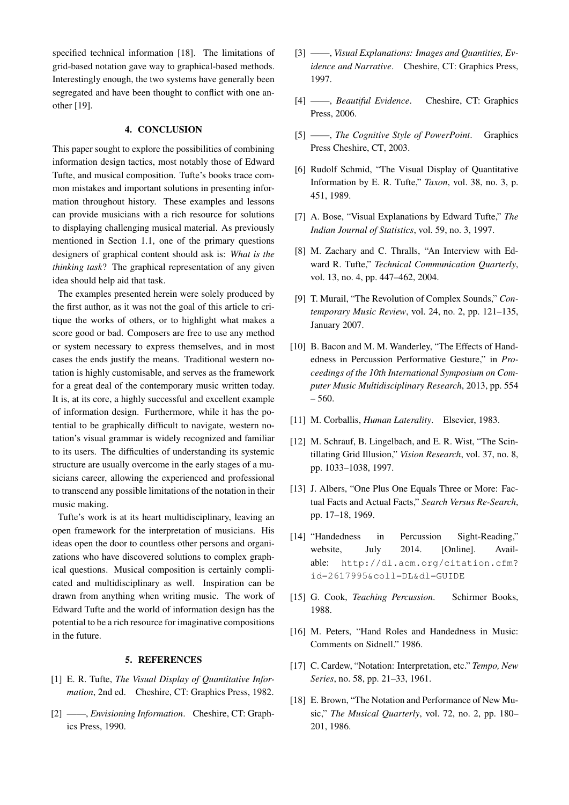specified technical information [\[18\]](#page-5-17). The limitations of grid-based notation gave way to graphical-based methods. Interestingly enough, the two systems have generally been segregated and have been thought to conflict with one another [\[19\]](#page-6-0).

# 4. CONCLUSION

This paper sought to explore the possibilities of combining information design tactics, most notably those of Edward Tufte, and musical composition. Tufte's books trace common mistakes and important solutions in presenting information throughout history. These examples and lessons can provide musicians with a rich resource for solutions to displaying challenging musical material. As previously mentioned in Section [1.1,](#page-0-1) one of the primary questions designers of graphical content should ask is: *What is the thinking task*? The graphical representation of any given idea should help aid that task.

The examples presented herein were solely produced by the first author, as it was not the goal of this article to critique the works of others, or to highlight what makes a score good or bad. Composers are free to use any method or system necessary to express themselves, and in most cases the ends justify the means. Traditional western notation is highly customisable, and serves as the framework for a great deal of the contemporary music written today. It is, at its core, a highly successful and excellent example of information design. Furthermore, while it has the potential to be graphically difficult to navigate, western notation's visual grammar is widely recognized and familiar to its users. The difficulties of understanding its systemic structure are usually overcome in the early stages of a musicians career, allowing the experienced and professional to transcend any possible limitations of the notation in their music making.

Tufte's work is at its heart multidisciplinary, leaving an open framework for the interpretation of musicians. His ideas open the door to countless other persons and organizations who have discovered solutions to complex graphical questions. Musical composition is certainly complicated and multidisciplinary as well. Inspiration can be drawn from anything when writing music. The work of Edward Tufte and the world of information design has the potential to be a rich resource for imaginative compositions in the future.

#### 5. REFERENCES

- <span id="page-5-0"></span>[1] E. R. Tufte, *The Visual Display of Quantitative Information*, 2nd ed. Cheshire, CT: Graphics Press, 1982.
- <span id="page-5-1"></span>[2] ——, *Envisioning Information*. Cheshire, CT: Graphics Press, 1990.
- <span id="page-5-2"></span>[3] ——, *Visual Explanations: Images and Quantities, Evidence and Narrative*. Cheshire, CT: Graphics Press, 1997.
- <span id="page-5-3"></span>[4] ——, *Beautiful Evidence*. Cheshire, CT: Graphics Press, 2006.
- <span id="page-5-4"></span>[5] ——, *The Cognitive Style of PowerPoint*. Graphics Press Cheshire, CT, 2003.
- <span id="page-5-5"></span>[6] Rudolf Schmid, "The Visual Display of Quantitative Information by E. R. Tufte," *Taxon*, vol. 38, no. 3, p. 451, 1989.
- <span id="page-5-6"></span>[7] A. Bose, "Visual Explanations by Edward Tufte," *The Indian Journal of Statistics*, vol. 59, no. 3, 1997.
- <span id="page-5-7"></span>[8] M. Zachary and C. Thralls, "An Interview with Edward R. Tufte," *Technical Communication Quarterly*, vol. 13, no. 4, pp. 447–462, 2004.
- <span id="page-5-8"></span>[9] T. Murail, "The Revolution of Complex Sounds," *Contemporary Music Review*, vol. 24, no. 2, pp. 121–135, January 2007.
- <span id="page-5-9"></span>[10] B. Bacon and M. M. Wanderley, "The Effects of Handedness in Percussion Performative Gesture," in *Proceedings of the 10th International Symposium on Computer Music Multidisciplinary Research*, 2013, pp. 554 – 560.
- <span id="page-5-10"></span>[11] M. Corballis, *Human Laterality*. Elsevier, 1983.
- <span id="page-5-11"></span>[12] M. Schrauf, B. Lingelbach, and E. R. Wist, "The Scintillating Grid Illusion," *Vision Research*, vol. 37, no. 8, pp. 1033–1038, 1997.
- <span id="page-5-12"></span>[13] J. Albers, "One Plus One Equals Three or More: Factual Facts and Actual Facts," *Search Versus Re-Search*, pp. 17–18, 1969.
- <span id="page-5-13"></span>[14] "Handedness in Percussion Sight-Reading," website, July 2014. [Online]. Available: [http://dl.acm.org/citation.cfm?](http://dl.acm.org/citation.cfm?id=2617995&coll=DL&dl=GUIDE) [id=2617995&coll=DL&dl=GUIDE](http://dl.acm.org/citation.cfm?id=2617995&coll=DL&dl=GUIDE)
- <span id="page-5-14"></span>[15] G. Cook, *Teaching Percussion*. Schirmer Books, 1988.
- <span id="page-5-15"></span>[16] M. Peters, "Hand Roles and Handedness in Music: Comments on Sidnell." 1986.
- <span id="page-5-16"></span>[17] C. Cardew, "Notation: Interpretation, etc." *Tempo, New Series*, no. 58, pp. 21–33, 1961.
- <span id="page-5-17"></span>[18] E. Brown, "The Notation and Performance of New Music," *The Musical Quarterly*, vol. 72, no. 2, pp. 180– 201, 1986.